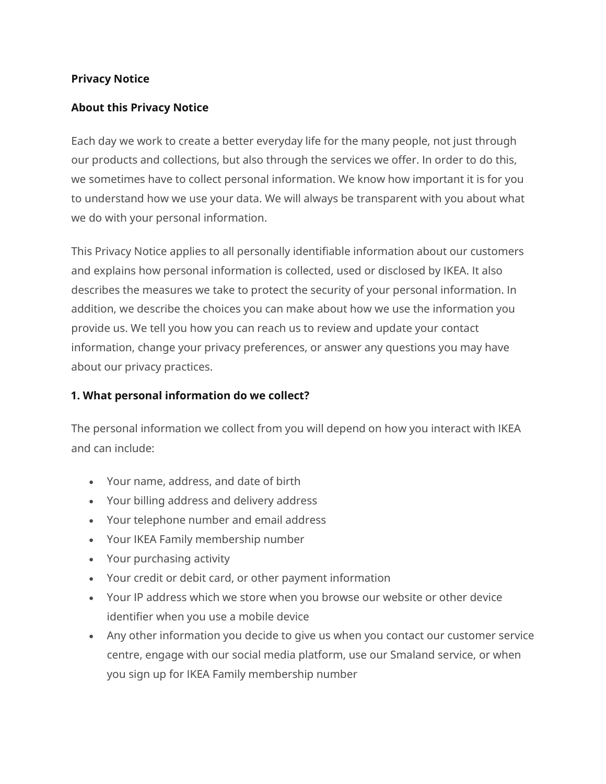#### **Privacy Notice**

### **About this Privacy Notice**

Each day we work to create a better everyday life for the many people, not just through our products and collections, but also through the services we offer. In order to do this, we sometimes have to collect personal information. We know how important it is for you to understand how we use your data. We will always be transparent with you about what we do with your personal information.

This Privacy Notice applies to all personally identifiable information about our customers and explains how personal information is collected, used or disclosed by IKEA. It also describes the measures we take to protect the security of your personal information. In addition, we describe the choices you can make about how we use the information you provide us. We tell you how you can reach us to review and update your contact information, change your privacy preferences, or answer any questions you may have about our privacy practices.

### **1. What personal information do we collect?**

The personal information we collect from you will depend on how you interact with IKEA and can include:

- Your name, address, and date of birth
- Your billing address and delivery address
- Your telephone number and email address
- Your IKEA Family membership number
- Your purchasing activity
- Your credit or debit card, or other payment information
- Your IP address which we store when you browse our website or other device identifier when you use a mobile device
- Any other information you decide to give us when you contact our customer service centre, engage with our social media platform, use our Smaland service, or when you sign up for IKEA Family membership number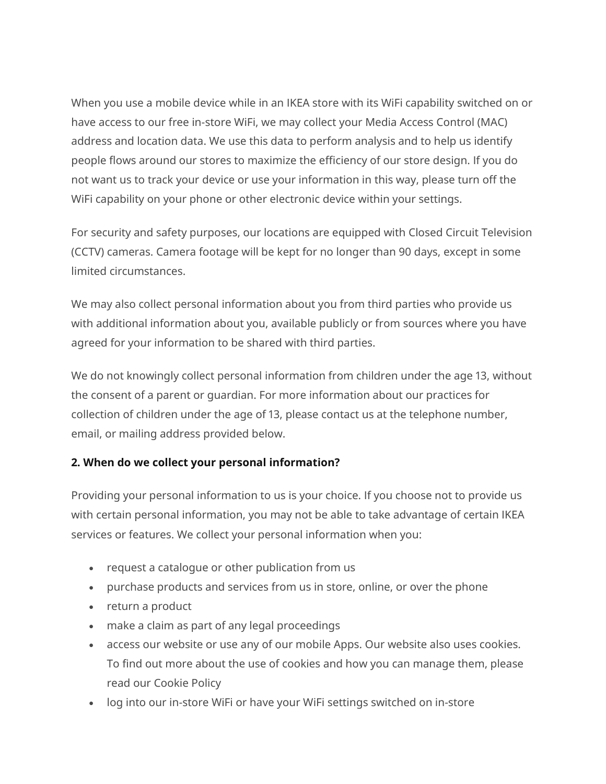When you use a mobile device while in an IKEA store with its WiFi capability switched on or have access to our free in-store WiFi, we may collect your Media Access Control (MAC) address and location data. We use this data to perform analysis and to help us identify people flows around our stores to maximize the efficiency of our store design. If you do not want us to track your device or use your information in this way, please turn off the WiFi capability on your phone or other electronic device within your settings.

For security and safety purposes, our locations are equipped with Closed Circuit Television (CCTV) cameras. Camera footage will be kept for no longer than 90 days, except in some limited circumstances.

We may also collect personal information about you from third parties who provide us with additional information about you, available publicly or from sources where you have agreed for your information to be shared with third parties.

We do not knowingly collect personal information from children under the age 13, without the consent of a parent or guardian. For more information about our practices for collection of children under the age of 13, please contact us at the telephone number, email, or mailing address provided below.

# **2. When do we collect your personal information?**

Providing your personal information to us is your choice. If you choose not to provide us with certain personal information, you may not be able to take advantage of certain IKEA services or features. We collect your personal information when you:

- request a catalogue or other publication from us
- purchase products and services from us in store, online, or over the phone
- return a product
- make a claim as part of any legal proceedings
- access our website or use any of our mobile Apps. Our website also uses cookies. To find out more about the use of cookies and how you can manage them, please read our Cookie Policy
- log into our in-store WiFi or have your WiFi settings switched on in-store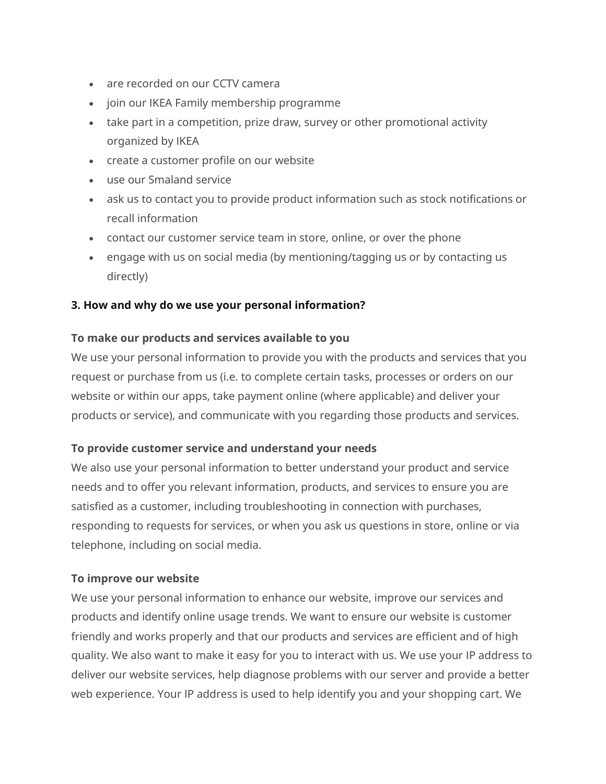- are recorded on our CCTV camera
- join our IKEA Family membership programme
- take part in a competition, prize draw, survey or other promotional activity organized by IKEA
- create a customer profile on our website
- use our Smaland service
- ask us to contact you to provide product information such as stock notifications or recall information
- contact our customer service team in store, online, or over the phone
- engage with us on social media (by mentioning/tagging us or by contacting us directly)

## **3. How and why do we use your personal information?**

## **To make our products and services available to you**

We use your personal information to provide you with the products and services that you request or purchase from us (i.e. to complete certain tasks, processes or orders on our website or within our apps, take payment online (where applicable) and deliver your products or service), and communicate with you regarding those products and services.

#### **To provide customer service and understand your needs**

We also use your personal information to better understand your product and service needs and to offer you relevant information, products, and services to ensure you are satisfied as a customer, including troubleshooting in connection with purchases, responding to requests for services, or when you ask us questions in store, online or via telephone, including on social media.

#### **To improve our website**

We use your personal information to enhance our website, improve our services and products and identify online usage trends. We want to ensure our website is customer friendly and works properly and that our products and services are efficient and of high quality. We also want to make it easy for you to interact with us. We use your IP address to deliver our website services, help diagnose problems with our server and provide a better web experience. Your IP address is used to help identify you and your shopping cart. We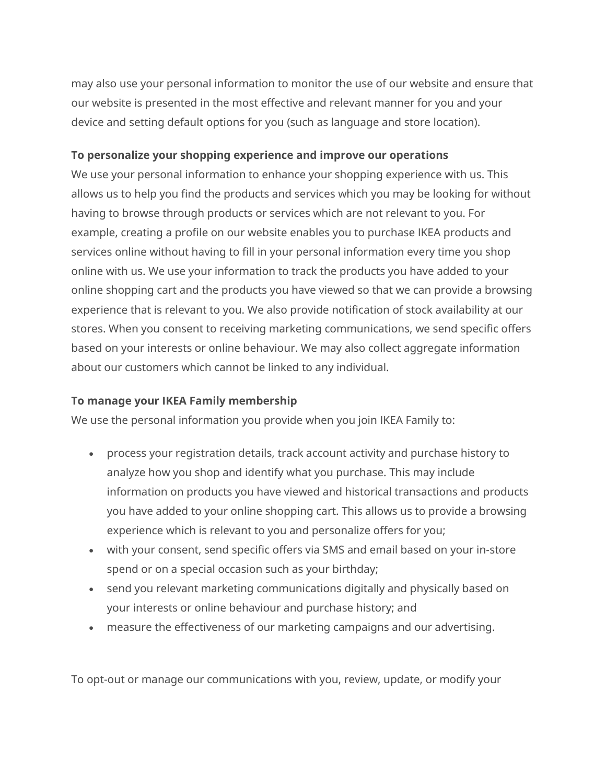may also use your personal information to monitor the use of our website and ensure that our website is presented in the most effective and relevant manner for you and your device and setting default options for you (such as language and store location).

## **To personalize your shopping experience and improve our operations**

We use your personal information to enhance your shopping experience with us. This allows us to help you find the products and services which you may be looking for without having to browse through products or services which are not relevant to you. For example, creating a profile on our website enables you to purchase IKEA products and services online without having to fill in your personal information every time you shop online with us. We use your information to track the products you have added to your online shopping cart and the products you have viewed so that we can provide a browsing experience that is relevant to you. We also provide notification of stock availability at our stores. When you consent to receiving marketing communications, we send specific offers based on your interests or online behaviour. We may also collect aggregate information about our customers which cannot be linked to any individual.

# **To manage your IKEA Family membership**

We use the personal information you provide when you join IKEA Family to:

- process your registration details, track account activity and purchase history to analyze how you shop and identify what you purchase. This may include information on products you have viewed and historical transactions and products you have added to your online shopping cart. This allows us to provide a browsing experience which is relevant to you and personalize offers for you;
- with your consent, send specific offers via SMS and email based on your in-store spend or on a special occasion such as your birthday;
- send you relevant marketing communications digitally and physically based on your interests or online behaviour and purchase history; and
- measure the effectiveness of our marketing campaigns and our advertising.

To opt-out or manage our communications with you, review, update, or modify your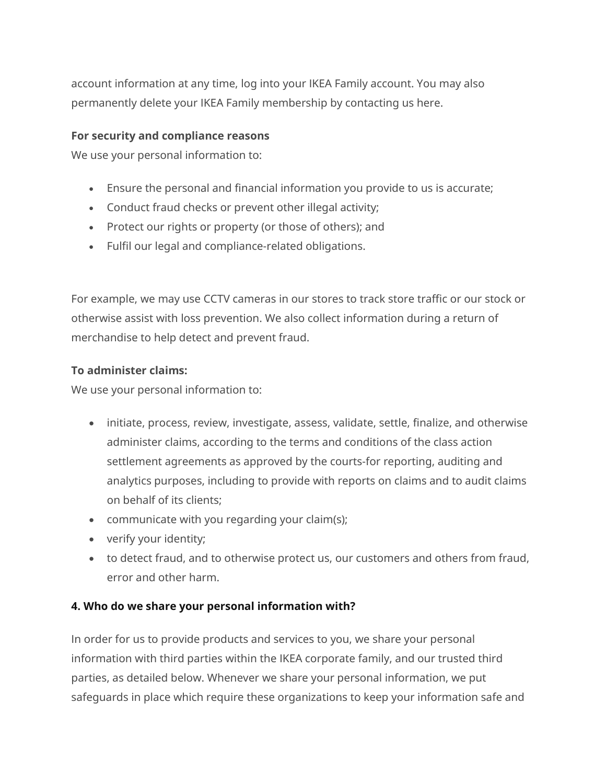account information at any time, log into your IKEA Family account. You may also permanently delete your IKEA Family membership by contacting us here.

#### **For security and compliance reasons**

We use your personal information to:

- Ensure the personal and financial information you provide to us is accurate;
- Conduct fraud checks or prevent other illegal activity;
- Protect our rights or property (or those of others); and
- Fulfil our legal and compliance-related obligations.

For example, we may use CCTV cameras in our stores to track store traffic or our stock or otherwise assist with loss prevention. We also collect information during a return of merchandise to help detect and prevent fraud.

#### **To administer claims:**

We use your personal information to:

- initiate, process, review, investigate, assess, validate, settle, finalize, and otherwise administer claims, according to the terms and conditions of the class action settlement agreements as approved by the courts-for reporting, auditing and analytics purposes, including to provide with reports on claims and to audit claims on behalf of its clients;
- communicate with you regarding your claim(s);
- verify your identity;
- to detect fraud, and to otherwise protect us, our customers and others from fraud, error and other harm.

#### **4. Who do we share your personal information with?**

In order for us to provide products and services to you, we share your personal information with third parties within the IKEA corporate family, and our trusted third parties, as detailed below. Whenever we share your personal information, we put safeguards in place which require these organizations to keep your information safe and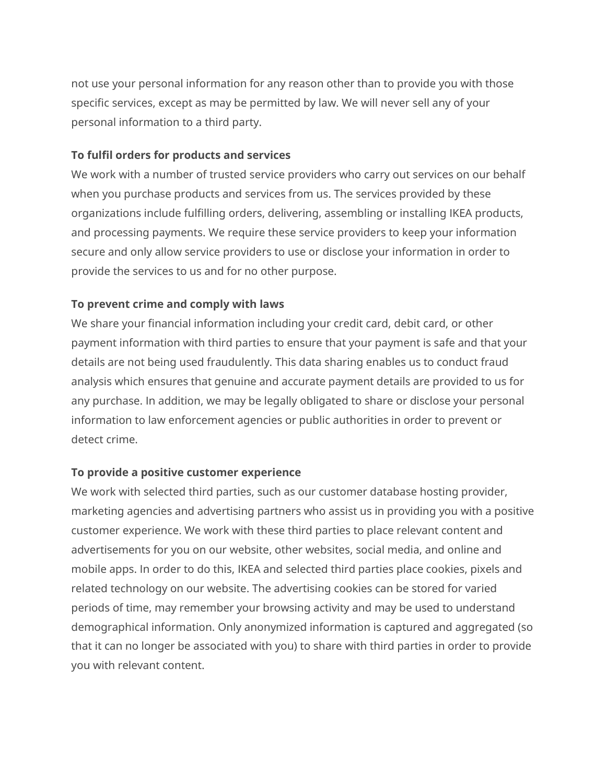not use your personal information for any reason other than to provide you with those specific services, except as may be permitted by law. We will never sell any of your personal information to a third party.

#### **To fulfil orders for products and services**

We work with a number of trusted service providers who carry out services on our behalf when you purchase products and services from us. The services provided by these organizations include fulfilling orders, delivering, assembling or installing IKEA products, and processing payments. We require these service providers to keep your information secure and only allow service providers to use or disclose your information in order to provide the services to us and for no other purpose.

## **To prevent crime and comply with laws**

We share your financial information including your credit card, debit card, or other payment information with third parties to ensure that your payment is safe and that your details are not being used fraudulently. This data sharing enables us to conduct fraud analysis which ensures that genuine and accurate payment details are provided to us for any purchase. In addition, we may be legally obligated to share or disclose your personal information to law enforcement agencies or public authorities in order to prevent or detect crime.

#### **To provide a positive customer experience**

We work with selected third parties, such as our customer database hosting provider, marketing agencies and advertising partners who assist us in providing you with a positive customer experience. We work with these third parties to place relevant content and advertisements for you on our website, other websites, social media, and online and mobile apps. In order to do this, IKEA and selected third parties place cookies, pixels and related technology on our website. The advertising cookies can be stored for varied periods of time, may remember your browsing activity and may be used to understand demographical information. Only anonymized information is captured and aggregated (so that it can no longer be associated with you) to share with third parties in order to provide you with relevant content.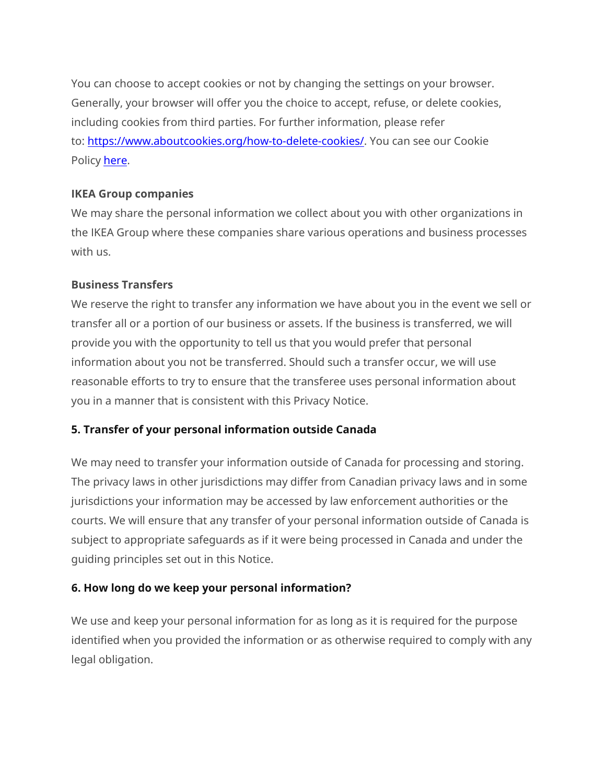You can choose to accept cookies or not by changing the settings on your browser. Generally, your browser will offer you the choice to accept, refuse, or delete cookies, including cookies from third parties. For further information, please refer to: [https://www.aboutcookies.org/how-to-delete-cookies/.](https://www.aboutcookies.org/how-to-delete-cookies/) You can see our Cookie Policy [here.](https://www.ikea.com/ca/en/customer-service/cookie-policy/)

## **IKEA Group companies**

We may share the personal information we collect about you with other organizations in the IKEA Group where these companies share various operations and business processes with us.

## **Business Transfers**

We reserve the right to transfer any information we have about you in the event we sell or transfer all or a portion of our business or assets. If the business is transferred, we will provide you with the opportunity to tell us that you would prefer that personal information about you not be transferred. Should such a transfer occur, we will use reasonable efforts to try to ensure that the transferee uses personal information about you in a manner that is consistent with this Privacy Notice.

# **5. Transfer of your personal information outside Canada**

We may need to transfer your information outside of Canada for processing and storing. The privacy laws in other jurisdictions may differ from Canadian privacy laws and in some jurisdictions your information may be accessed by law enforcement authorities or the courts. We will ensure that any transfer of your personal information outside of Canada is subject to appropriate safeguards as if it were being processed in Canada and under the guiding principles set out in this Notice.

# **6. How long do we keep your personal information?**

We use and keep your personal information for as long as it is required for the purpose identified when you provided the information or as otherwise required to comply with any legal obligation.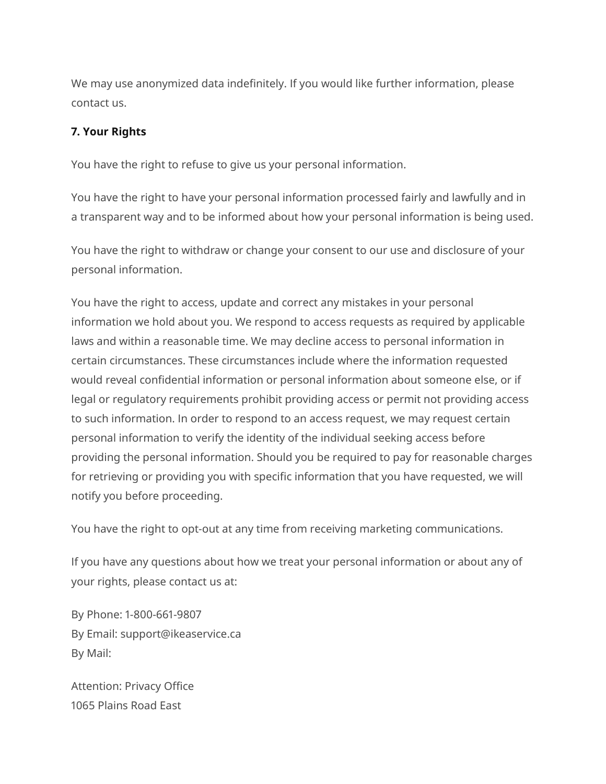We may use anonymized data indefinitely. If you would like further information, please contact us.

### **7. Your Rights**

You have the right to refuse to give us your personal information.

You have the right to have your personal information processed fairly and lawfully and in a transparent way and to be informed about how your personal information is being used.

You have the right to withdraw or change your consent to our use and disclosure of your personal information.

You have the right to access, update and correct any mistakes in your personal information we hold about you. We respond to access requests as required by applicable laws and within a reasonable time. We may decline access to personal information in certain circumstances. These circumstances include where the information requested would reveal confidential information or personal information about someone else, or if legal or regulatory requirements prohibit providing access or permit not providing access to such information. In order to respond to an access request, we may request certain personal information to verify the identity of the individual seeking access before providing the personal information. Should you be required to pay for reasonable charges for retrieving or providing you with specific information that you have requested, we will notify you before proceeding.

You have the right to opt-out at any time from receiving marketing communications.

If you have any questions about how we treat your personal information or about any of your rights, please contact us at:

By Phone: 1-800-661-9807 By Email: support@ikeaservice.ca By Mail:

Attention: Privacy Office 1065 Plains Road East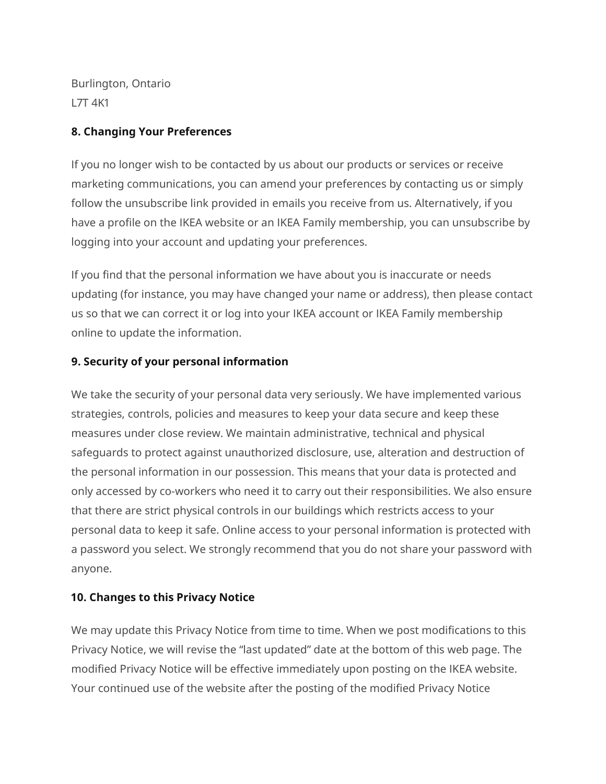Burlington, Ontario L7T 4K1

## **8. Changing Your Preferences**

If you no longer wish to be contacted by us about our products or services or receive marketing communications, you can amend your preferences by contacting us or simply follow the unsubscribe link provided in emails you receive from us. Alternatively, if you have a profile on the IKEA website or an IKEA Family membership, you can unsubscribe by logging into your account and updating your preferences.

If you find that the personal information we have about you is inaccurate or needs updating (for instance, you may have changed your name or address), then please contact us so that we can correct it or log into your IKEA account or IKEA Family membership online to update the information.

# **9. Security of your personal information**

We take the security of your personal data very seriously. We have implemented various strategies, controls, policies and measures to keep your data secure and keep these measures under close review. We maintain administrative, technical and physical safeguards to protect against unauthorized disclosure, use, alteration and destruction of the personal information in our possession. This means that your data is protected and only accessed by co-workers who need it to carry out their responsibilities. We also ensure that there are strict physical controls in our buildings which restricts access to your personal data to keep it safe. Online access to your personal information is protected with a password you select. We strongly recommend that you do not share your password with anyone.

#### **10. Changes to this Privacy Notice**

We may update this Privacy Notice from time to time. When we post modifications to this Privacy Notice, we will revise the "last updated" date at the bottom of this web page. The modified Privacy Notice will be effective immediately upon posting on the IKEA website. Your continued use of the website after the posting of the modified Privacy Notice